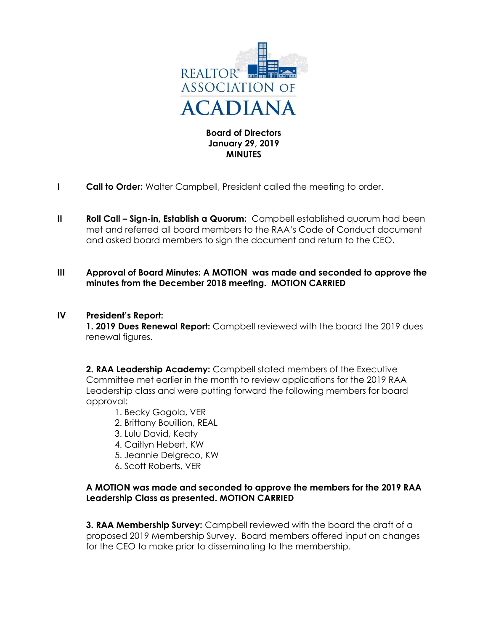

Board of Directors January 29, 2019 **MINUTES** 

- **I** Call to Order: Walter Campbell, President called the meeting to order.
- II Roll Call Sign-in, Establish a Quorum: Campbell established quorum had been met and referred all board members to the RAA's Code of Conduct document and asked board members to sign the document and return to the CEO.
- III Approval of Board Minutes: A MOTION was made and seconded to approve the minutes from the December 2018 meeting. MOTION CARRIED

## IV President's Report:

1. 2019 Dues Renewal Report: Campbell reviewed with the board the 2019 dues renewal figures.

2. RAA Leadership Academy: Campbell stated members of the Executive Committee met earlier in the month to review applications for the 2019 RAA Leadership class and were putting forward the following members for board approval:

- 1. Becky Gogola, VER
- 2. Brittany Bouillion, REAL
- 3. Lulu David, Keaty
- 4. Caitlyn Hebert, KW
- 5. Jeannie Delgreco, KW
- 6. Scott Roberts, VER

## A MOTION was made and seconded to approve the members for the 2019 RAA Leadership Class as presented. MOTION CARRIED

**3. RAA Membership Survey:** Campbell reviewed with the board the draft of a proposed 2019 Membership Survey. Board members offered input on changes for the CEO to make prior to disseminating to the membership.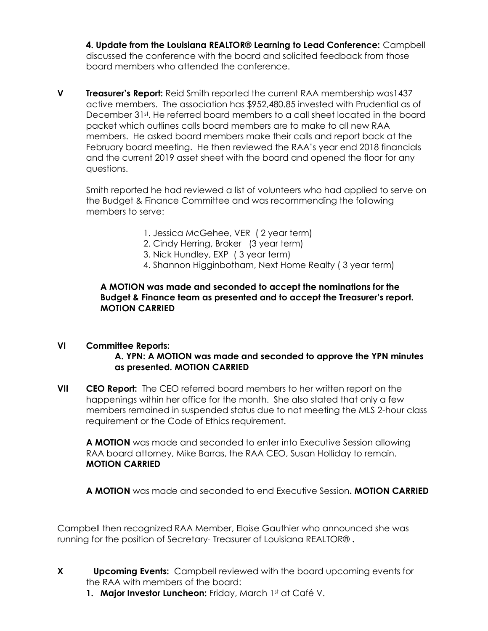4. Update from the Louisiana REALTOR® Learning to Lead Conference: Campbell discussed the conference with the board and solicited feedback from those board members who attended the conference.

V Treasurer's Report: Reid Smith reported the current RAA membership was1437 active members. The association has \$952,480.85 invested with Prudential as of December 31st. He referred board members to a call sheet located in the board packet which outlines calls board members are to make to all new RAA members. He asked board members make their calls and report back at the February board meeting. He then reviewed the RAA's year end 2018 financials and the current 2019 asset sheet with the board and opened the floor for any questions.

Smith reported he had reviewed a list of volunteers who had applied to serve on the Budget & Finance Committee and was recommending the following members to serve:

- 1. Jessica McGehee, VER ( 2 year term)
- 2. Cindy Herring, Broker (3 year term)
- 3. Nick Hundley, EXP ( 3 year term)
- 4. Shannon Higginbotham, Next Home Realty ( 3 year term)

## A MOTION was made and seconded to accept the nominations for the Budget & Finance team as presented and to accept the Treasurer's report. MOTION CARRIED

## VI Committee Reports: A. YPN: A MOTION was made and seconded to approve the YPN minutes as presented. MOTION CARRIED

VII CEO Report: The CEO referred board members to her written report on the happenings within her office for the month. She also stated that only a few members remained in suspended status due to not meeting the MLS 2-hour class requirement or the Code of Ethics requirement.

A MOTION was made and seconded to enter into Executive Session allowing RAA board attorney, Mike Barras, the RAA CEO, Susan Holliday to remain. MOTION CARRIED

A MOTION was made and seconded to end Executive Session. MOTION CARRIED

Campbell then recognized RAA Member, Eloise Gauthier who announced she was running for the position of Secretary- Treasurer of Louisiana REALTOR® .

- X Upcoming Events: Campbell reviewed with the board upcoming events for the RAA with members of the board:
	- 1. Major Investor Luncheon: Friday, March 1st at Café V.